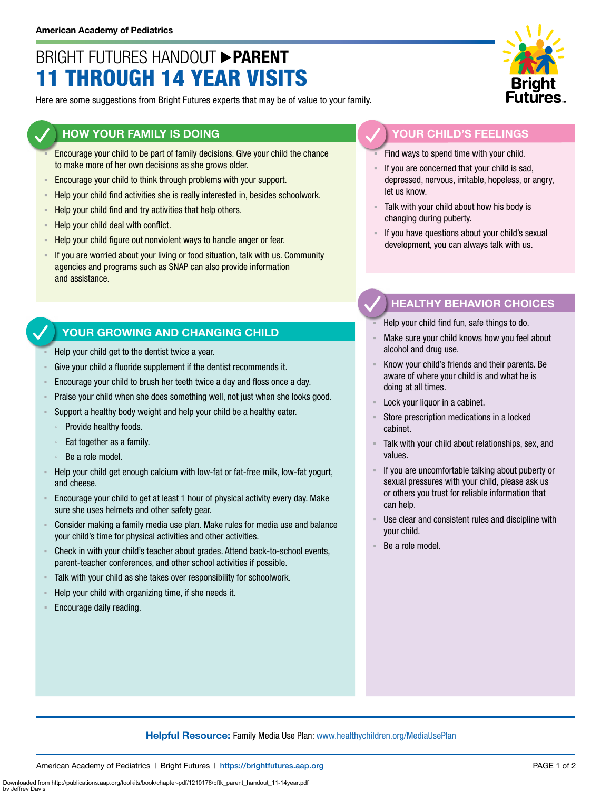## BRIGHT FUTURES HANDOUT **PARENT** 11 THROUGH 14 YEAR VISITS

Here are some suggestions from Bright Futures experts that may be of value to your family.

#### **HOW YOUR FAMILY IS DOING**

- Encourage your child to be part of family decisions. Give your child the chance to make more of her own decisions as she grows older.
- **Encourage your child to think through problems with your support.**
- **EXECT** Help your child find activities she is really interested in, besides schoolwork.
- Help your child find and try activities that help others.
- Help your child deal with conflict.
- Help your child figure out nonviolent ways to handle anger or fear.
- **EXT** If you are worried about your living or food situation, talk with us. Community agencies and programs such as SNAP can also provide information and assistance.

### **YOUR GROWING AND CHANGING CHILD**

- Help your child get to the dentist twice a year.
- Give your child a fluoride supplement if the dentist recommends it.
- Encourage your child to brush her teeth twice a day and floss once a day.
- Praise your child when she does something well, not just when she looks good.
- Support a healthy body weight and help your child be a healthy eater.
	- Provide healthy foods.
	- Eat together as a family.
	- Be a role model.
- Help your child get enough calcium with low-fat or fat-free milk, low-fat yogurt, and cheese.
- Encourage your child to get at least 1 hour of physical activity every day. Make sure she uses helmets and other safety gear.
- Consider making a family media use plan. Make rules for media use and balance your child's time for physical activities and other activities.
- Check in with your child's teacher about grades. Attend back-to-school events, parent-teacher conferences, and other school activities if possible.
- Talk with your child as she takes over responsibility for schoolwork.
- Help your child with organizing time, if she needs it.
- Encourage daily reading.

by Jeffrey Davis



#### **YOUR CHILD'S FEELINGS**

Find ways to spend time with your child.

- If you are concerned that your child is sad, depressed, nervous, irritable, hopeless, or angry, let us know.
- Talk with your child about how his body is changing during puberty.
- If you have questions about your child's sexual development, you can always talk with us.

### **HEALTHY BEHAVIOR CHOICES**

- Help your child find fun, safe things to do.
- Make sure your child knows how you feel about alcohol and drug use.
- Know your child's friends and their parents. Be aware of where your child is and what he is doing at all times.
- Lock your liquor in a cabinet.
- Store prescription medications in a locked cabinet.
- Talk with your child about relationships, sex, and values.
- If you are uncomfortable talking about puberty or sexual pressures with your child, please ask us or others you trust for reliable information that can help.
- Use clear and consistent rules and discipline with your child.
- Be a role model.

#### **Helpful Resource:** Family Media Use Plan: [www.healthychildren.org/MediaUsePlan](https://www.healthychildren.org/English/media/Pages/default.aspx)

Downloaded from http://publications.aap.org/toolkits/book/chapter-pdf/1210176/bftk\_parent\_handout\_11-14year.pdf